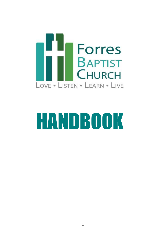

# HANDBOOK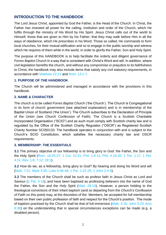# **INTRODUCTION TO THE HANDBOOK**

The Lord Jesus Christ, appointed by God the Father, is the Head of the Church. In Christ, the Father has invested all power for the calling, institution and order of the Church, which He fulfils through the ministry of His Word by His Spirit. Jesus Christ calls out of the world to Himself, those that are given to Him by his Father; that they may walk before Him in all the ways of obedience, which He prescribes in his Word. Those so called, He commands to form local churches, for their mutual edification and so to engage in the public worship and witness which He requires of them while in the world, in order to glorify the Father, Son and Holy Spirit.

The purpose of this HANDBOOK is to help facilitate the orderly and diligent governance of *Forres Baptist Church* in a way that is consistent with Christ's Word and will. In addition, where civil legislation benefits the church, and without any compromise or prejudice to its faithfulness to Christ, the handbook may also include items that satisfy any civil statutory requirements, in accordance with Matthew 22:21 and Rom. 13:1-7.

## **1. PURPOSE OF THE HANDBOOK**

The Church will be administered and managed in accordance with the provisions in this handbook.

## **2. NAME & CHARACTER**

The church is to be called *Forres Baptist Church* ('the Church'). The Church is Congregational in its form of church government (see attached explanation) and is in membership of the Baptist Union of Scotland ('the Union'). The Church subscribes to the Declaration of Principle of the Union (see *Church Confession of Faith*). The Church is a Scottish Charitable Incorporated Organisation ("SCIO") and as such must comply with Scottish charity law and is regulated by the Office of the Scottish Charity Regulator ("OSCR") as Registered Scottish Charity Number SC050133. The handbook operates in conjunction with and is subject to the Church's SCIO Constitution, which satisfies the necessary charity law and OSCR requirements.

## **3. MEMBERSHIP: THE ESSENTIALS**

**3.1** The primary objective of our fellowship is to bring glory to God: the Father, the Son and the Holy Spirit (Rom. 16:25-27; 1 Cor. 10:31; Phil. 1:9-11; Phil. 4:19-20; 1 Tim. 1:17; 1 Pet. 4:11; Rev. 1:6; 7:12; 19:1).

**3.2** How do we, as a fellowship, bring glory to God? By hearing and doing his Word and will (Matt. 7:21; Mark 3:35; Luke 6:46-48; 1 Pet. 1:22-25; 1 John 2:4-6).

**3.3** The members of the Church shall be such as profess faith in Jesus Christ as Lord and Saviour (2 Pet. 3:18), and have been baptised as professing believers into the name of God the Father, the Son and the Holy Spirit (Matt. 28:19). However, a person holding to the theological convictions of their infant baptism (and so departing from the *Church's Confession of Faith* on this point) may, at the discretion of the Members, be accepted for full membership based on their own public profession of faith and respect for the Church's position. The mode of baptism practised by the Church shall be that of full immersion (Matt. 3:16; John 3:23; Acts 8:38) on the understanding that in special circumstances exceptions can be made (e.g. a disabled person).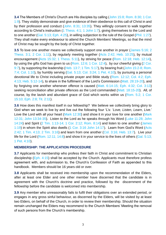**3.4** The Members of Christ's Church are His disciples by calling (John 15:8; Rom. 8:30; 1 Cor. 1:9). They visibly demonstrate and give evidence of their obedience to this call of Christ in and by their profession and conduct (John. 8:31; 13:35). They willingly consent to walk together according to Christ's instruction (1 Thess. 4:1; 1 John 1:7), giving themselves to the Lord and to one another (Gal. 5:13; Eph. 4:25), in willing subjection to the rule of the Gospel (Phil. 1:27). They shall make every endeavour to attend the Church Members' Meetings, so that the mind of Christ may be sought by the body of Christ together.

**3.5** To love one another means we collectively support one another in prayer (James 5:16; 2) Thess. 3:1; 2 Cor. 1:11), by regularly meeting together (Acts 2:42; Heb. 10:25), by mutual encouragement (Acts 15:32; 1 Thess. 5:11), by striving for peace (Rom. 12:18; Heb. 12:14), by using the gifts God has given to us (Rom. 12:6; 1 Cor. 12:4), by our cheerful giving (2 Cor. 9:7), by supporting the leadership (Heb. 13:7; 1 Tim. 5:17), by bearing fruit (John 15:2-8; Rom. 7:4; Col. 1:10), by humbly serving (Gal. 5:13; Col. 3:24; 1 Pet. 4:10), by pursuing a personal devotional life to Christ including private prayer and Bible study (Rom. 12:12; Col. 4:2; Eph. 4:13; Heb. 5:12-14), to share in the fulfilment of the Lord's Commission (Matt. 28:19-20), and by forgiving one another whenever offence is caused (Matt. 6:14-15; Eph. 4:32; Col. 3:13) seeking reconciliation after private offences as the Lord commanded (Matt. 18:15-20). All, of course, by the lavish and abundant grace of God which works within us (Rom. 5:2; 1 Cor. 15:10; Eph. 2:8; Tit. 2:11).

**3.6** How does this manifest itself in our fellowship? We believe we collectively bring glory to God when we seek to live by and live out the following four 'L's: '*Love, Listen, Learn, Live*.' Love the Lord with all your heart (Mark 12:30) and show it in your love for one another (Mark 12:31; John 13:34-35). Listen to the Lord as he speaks through his Word (Luke 11:28; John 14:24) and Spirit (2 Tim. 1:13-14; 1 Cor. 2:12; Rom. 8:14) and listen to one another (James 1:19) in whom the Spirit also dwells (1 Cor. 3:16 John 14:17). Learn from God's Word (Acts 2:42; 1 Tim. 4:13; 2 Tim. 3:16) and learn from one another (Col. 3:16; Heb. 13:7). Live your life for the Lord (Rom. 12:11; 14:8) and show it in your service to the lives of others (Gal. 5:13; 1 Pet. 4:10).

## **MEMBERSHIP: THE APPLICATION PROCEDURE**

**3.7** Applicants for membership who profess their faith in Christ and commitment to Christian discipleship ( $Eph. 4:15$ ) shall be accepted by the Church. Applicants must therefore profess agreement with, and submission to, the Church's Confession of Faith as appended to this handbook. Members should be 16 years old or over.

**3.8** Applicants shall be received into membership upon the recommendation of the Elders, after at least one Elder and one other member have discerned that the candidate is in agreement with the Church's doctrine and practice, followed by the discernment of the fellowship before the candidate is welcomed into membership.

**3.9** Any member who unreasonably fails to fulfil their obligations over an extended period, or engages in any gross sinful behaviour, as discerned by the Elders, will be visited by at least two Elders, on behalf of the Church, in order to review their membership. Should the situation remain unchanged the Elders may recommend to the Church Members' Meeting the removal of such persons from the Church's membership.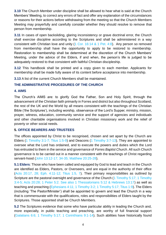**3.10** The Church Member under discipline shall be allowed to hear what is said at the Church Members' Meeting, to correct any errors of fact and offer any explanation of the circumstances or reasons for their actions before withdrawing from the meeting so that the Church Members Meeting may prayerfully and carefully consider whether they should resolve to remove that person from membership.

**3.11** In cases of open backsliding, glaring inconsistency or grave doctrinal error, the Church shall exercise discipline according to the Scriptures and shall be administered in a way consistent with Christian love and unity (1 Cor. 16:14 & 1 Pet. 4:8). Any person so removed from membership shall have the opportunity to apply to be restored to membership. Restoration to membership shall be determined at the discretion of the Church Members' Meeting, under the advice of the Elders, if and when, the person's life is judged to be adequately restored to that consistent with faithful Christian discipleship.

**3.12** This handbook shall be printed and a copy given to each member. Applicants for membership shall be made fully aware of its content before acceptance into membership.

**3.13** A list of the current Church Members shall be maintained.

## **THE ADMINISTRATIVE PROCEDURES OF THE CHURCH**

## **4. AIMS**

The Church's AIMS are: to glorify God the Father, Son and Holy Spirit, through the advancement of the Christian faith primarily in Forres and district but also throughout Scotland, the rest of the UK and the World by all means consistent with the teachings of the Christian Bible ('the Scriptures'), including worship, observance of the Lord's Supper, ministry, mission, prayer, witness, education, community service and the support of agencies and individuals and other charitable organisations involved in Christian missionary work and the relief of poverty or other social needs.

## **5. OFFICE BEARERS AND TRUSTEES**

The offices appointed by Christ to be recognised, chosen and set apart by the Church are Elders (1 Timothy 3:1-7; Titus 1:5-9) and Deacons (1 Timothy 3:7-13). They are appointed to oversee what the Lord has ordained, and to execute the powers and duties which the Lord has entrusted to them in the service and governance of *Forres Baptist Church*. All such Church governance is to be carried out in a manner consistent with the teachings of Christ regarding servant-hood (John 13:12-17; 34-35; Matthew 20:25-28).

**5.1 Elders**: Those who have been called and equipped by God to lead and teach in the Church are identified as Elders, Pastors, or Overseers, and are equal in the authority of their office (Acts 20:17, 28; Eph. 4:11-12; Titus 1:5, 7). Their primary responsibilities as outlined by Scripture are the pastoral oversight and governance of the Church (1 Timothy 5:17; 1 Timothy 3:4-5; Acts 20:28; 1 Peter 5:2. See also 1 Thessalonians 5:12 & Hebrews 13:17) as well as teaching and preaching (Ephesians 4:11; 1 Timothy 3:2; 1 Timothy 5:17; Titus 1:9). The Elders (including 'The Pastor/Minister') shall be appointed to govern and lead the Church in a way that is commensurate with the qualifications, roles and responsibilities of Elders taught by the Scriptures. Those appointed shall be Church Members.

**5.2** The Scriptures evidence that some who have particular ability in leading the Church and, more especially, in public teaching and preaching, are worthy of full financial support (Galatians 6:6; 1 Timothy 5:17; 1 Corinthians 9:1-14). Such abilities have historically found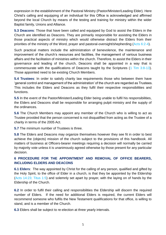expression in the establishment of the Pastoral Ministry (Pastor/Minister/Leading Elder). Here Christ's calling and equipping of an individual for this Office is acknowledged and affirmed beyond the local Church by means of the testing and training for ministry within the wider Baptist family, Unions and Alliance.

**5.3 Deacons**: Those that have been called and equipped by God to assist the Elders in the Church are identified as Deacons. They are primarily responsible for assisting the Elders in those practical aspects of ministry which would otherwise distract the Elders from their priorities of the ministry of the Word, prayer and pastoral-oversight/shepherding (Acts 6:2-4).

Such practical matters include the administration of benevolence, the maintenance and improvement of the church's resources and facilities, the management of various business affairs and the facilitation of ministries within the church. Therefore, to assist the Elders in their governance and leading of the church, Deacons shall be appointed in a way that is commensurate with the qualifications of Deacons taught by the Scriptures (1 Tim 3:8-13). Those appointed need to be existing Church Members.

**5.4 Trustees**: In order to satisfy charity law requirements those who between them have 'general control and management of the administration' of the church are regarded as Trustees. This includes the Elders and Deacons as they fulfil their respective responsibilities and functions.

**5.5** In the event of the Pastor/Minister/Leading Elder being unable to fulfil his responsibilities, the Elders and Deacons shall be responsible for arranging pulpit ministry and the supply of the ordinances.

**5.6** The Church Members may appoint any member of the Church who is willing to act as Trustee provided that the person concerned is not disqualified from acting as the Trustee of a charity in terms of the 2005 Act.

**5.7** The minimum number of Trustees is three.

**5.8** The Elders and Deacons may organize themselves however they see fit in order to best achieve the (objects) mission of the church subject to the provisions of this handbook. All matters of business at Officers-bearer meetings requiring a decision will normally be carried by majority vote unless it is unanimously agreed otherwise by those present for any particular decision.

## **6 PROCEDURE FOR THE APPOINTMENT AND REMOVAL OF OFFICE BEARERS, INCLUDING ELDERS AND DEACONS**

**6.1 Elders**: The way appointed by Christ for the calling of any person, qualified and gifted by the Holy Spirit, to the office of Elder in a church, is that they be appointed by the Eldership (Acts 14:23; Titus 1:5) and solemnly set apart by prayer, with the laying on of hands by the Eldership of the Church.

**6.2** In order to fulfil their calling and responsibilities the Eldership will discern the required number of Elders. If the need for additional Elders is required, the current Elders will recommend someone who fulfils the New Testament qualifications for that office, is willing to stand, and is a member of the Church.

**6.3** Elders shall be subject to re-election at three yearly intervals.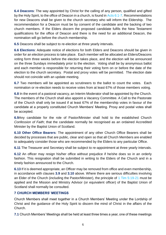**6.4 Deacons**: The way appointed by Christ for the calling of any person, qualified and gifted by the Holy Spirit, to the office of Deacon in a church, is found in Acts 6:1-7. Recommendations for new Deacons shall be given to the church secretary who will inform the Eldership. The recommendation for a Deacon must be by consent of the candidate and the backing of two church members. If the Elders discern the proposed candidate fulfils the New Testament qualifications for the office of Deacon and there is the need for an additional Deacon, the nomination will go before the church membership.

**6.5** Deacons shall be subject to re-election at three yearly intervals.

**6.6 Elections**: Adequate notice of elections for both Elders and Deacons should be given in order for an election process to take place. Each member will be allocated an Elders/Deacons voting form three weeks before the election takes place, and the election will be announced on the three Sundays immediately prior to the election. Voting shall be by anonymous ballot and each member is responsible for returning their voting form on or before the date of the election to the church secretary. Postal and proxy votes will be permitted. The election date should not coincide with an update meeting.

**6.7** Two members will be appointed as scrutineers to the ballot to count the votes. Each nomination or re-election needs to receive votes from at least 67% of those members voting.

**6.8** In the event of a pastoral vacancy, an Interim Moderator shall be appointed by the Church. The members of the Church shall also appoint a Vacancy Committee. A Call to the Pastorate of the Church shall only be issued if at least 67% of the membership votes in favour of the candidate at a properly constituted Church Members' Meeting. Proxy and postal votes shall be accepted.

**6.9**Any candidate for the role of Pastor/Minister shall hold to the established Church *Confession of Faith*; that the candidate normally be recognised as an ordained Accredited Minister by the Baptist Union of Scotland.

**6.10 Other Office Bearers**: The appointment of any other Church Office Bearers shall be decided by processes that are public, clear and open so that all Church Members are enabled to adequately consider those who are recommended by the Elders to any particular Office.

**6.11** The Treasurer and Secretary shall be subject to re-appointment at three yearly intervals.

**6.12** An officer may resign his/her office without prejudice if he/she does so in an orderly fashion. This resignation shall be submitted in writing to the Elders of the Church and in a timely fashion announced to the Church.

**6.13** If it is deemed appropriate, an Officer may be removed from office and even membership, in accordance with clauses **3.9** and **3.10** above. Where there are serious difficulties involving an Elder of the Church (including the Pastor/Minister), the principle of 1 Tim 5:19-21 must be applied and the Mission and Ministry Advisor (or equivalent officer) of the Baptist Union of Scotland shall normally be consulted.

## **7 CHURCH MEMBERS' MEETINGS**

Church Members shall meet together in a Church Members' Meeting under the Lordship of Christ and the guidance of the Holy Spirit to discern the mind of Christ in the affairs of the Church.

**7.1** Church Members' Meetings shall be held at least three times a year, one of these meetings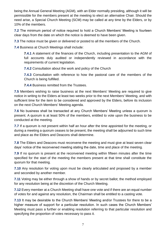being the Annual General Meeting (AGM), with an Elder normally presiding, although it will be permissible for the members present at the meeting to elect an alternative Chair. Should the need arise, a Special Church Meeting (SCM) may be called at any time by the Elders, or by 10% of the members.

**7.2** The minimum period of notice required to hold a Church Members' Meeting is fourteen clear days from the date on which the notice is deemed to have been given.

**7.3** The notice must be given or delivered or posted to all the members of the Church.

**7.4** Business at Church Meetings shall include:

**7.4.1** A statement of the finances of the Church, including presentation to the AGM of full accounts duly audited or independently reviewed in accordance with the requirements of current legislation.

**7.4.2** Consultation about the work and policy of the Church

**7.4.3** Consultation with reference to how the pastoral care of the members of the Church is being fulfilled.

**7.4.4** Business remitted from the Trustees.

**7.5** Members wishing to raise business at the next Members' Meeting are required to give notice in writing to the Elders at least two weeks prior to the next Members' Meeting, and with sufficient time for the item to be considered and approved by the Elders, before its inclusion on the next Church Members' Meeting agenda.

**7.6** No business shall be transacted at any Church Members' Meeting unless a quorum is present. A quorum is at least 50% of the members, entitled to vote upon the business to be conducted at the meeting.

**7.7** If a quorum is not present within half an hour after the time appointed for the meeting, or during a meeting a quorum ceases to be present, the meeting shall be adjourned to such time and place as the Elders and Deacons shall determine.

**7.8** The Elders and Deacons must reconvene the meeting and must give at least seven clear days' notice of the reconvened meeting stating the date, time and place of the meeting.

**7.9** If no quorum is present at the reconvened meeting within fifteen minutes after the time specified for the start of the meeting the members present at that time shall constitute the quorum for that meeting.

**7.10** Any resolution for voting upon must be clearly articulated and proposed by a member and seconded by another member.

**7.11** Voting may be either through a show of hands or by secret ballot; the method employed for any resolution being at the discretion of the Church Meeting.

**7.12** Every member at a Church Meeting shall have one vote and if there are an equal number of votes for and against any resolution, the Chairman shall be entitled to a casting vote.

**7.13** It may be desirable to the Church Members' Meeting and/or Trustees for there to be a higher measure of support for a particular resolution. In such cases the Church Members' Meeting must pass a further or enabling resolution referring to that particular resolution and specifying the proportion of votes necessary to pass it.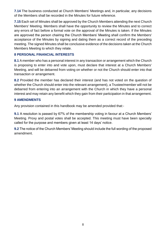**7.14** The business conducted at Church Members' Meetings and, in particular, any decisions of the Members shall be recorded in the Minutes for future reference.

**7.15** Each set of Minutes shall be approved by the Church Members attending the next Church Members' Meeting. Members shall have the opportunity to review the Minutes and to correct any errors of fact before a formal vote on the approval of the Minutes is taken. If the Minutes are approved the person chairing the Church Members' Meeting shall confirm the Members' acceptance of the Minutes by signing and dating them as a correct record of the preceding meeting. The signed Minutes shall be conclusive evidence of the decisions taken at the Church Members Meeting to which they relate.

## **8 PERSONAL FINANCIAL INTERESTS**

**8.1** A member who has a personal interest in any transaction or arrangement which the Church is proposing to enter into and vote upon, must declare that interest at a Church Members' Meeting, and will be debarred from voting on whether or not the Church should enter into that transaction or arrangement.

**8.2** Provided the member has declared their interest (and has not voted on the question of whether the Church should enter into the relevant arrangement), a Trustee/member will not be debarred from entering into an arrangement with the Church in which they have a personal interest and may retain any benefit which they gain from their participation in that arrangement.

## **9 AMENDMENTS**

Any provision contained in this handbook may be amended provided that:-

**9.1** A resolution is passed by 67% of the membership voting in favour at a Church Members' Meeting. Proxy and postal votes shall be accepted. This meeting must have been specially called for the purpose and members given at least 14 days' notice.

**9.2** The notice of the Church Members' Meeting should include the full wording of the proposed amendment.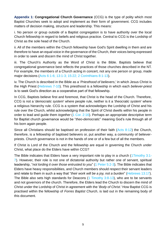**Appendix 1: Congregational Church Governance** (CCG) is the type of polity which most Baptist Churches seek to adopt and implement as their form of government. CCG includes matters of decision making, structure and leadership. This means:

i. No person or group outside of a Baptist congregation is to have authority over the local Church fellowship in regard to beliefs and religious practice. Central to CCG is the Lordship of Christ as the sole head of the Church.

ii. All of the members within the Church fellowship have God's Spirit dwelling in them and are therefore to have an equal voice in the governance of the Church, their voices being expressed in order to seek and discern the mind of Christ together.

iii. The Church's Authority as the Word of Christ is the Bible. Baptists believe that congregational governance best reflects the practices of those churches described in the NT. For example, the members of a Church acting in concert, not any one person or group, made major decisions (Acts 6:1-6; 13:1-3; 15:22; 2 Corinthians 8:1-13).

iv. The Church is described in the Bible as a '*Priesthood of believers*,' in which Jesus Christ is the High Priest (Hebrews 7-10). This priesthood is a fellowship in which each *believer-priest* is to seek God's direction as a cooperative part of that fellowship.

In CCG, Baptists believe first and foremost, that Christ is the head of the Church. Therefore, CCG is not a '*democratic system*' where people rule, neither is it a '*theocratic system*' where a religious hierarchy rule. CCG is a system that acknowledges the Lordship of Christ and his rule over the Church, whilst acknowledging that the Spirit of Christ dwells within his people in order to lead and guide them *together* (1 Cor. 2:16). Perhaps an appropriate descriptive term for Baptist church governance would be "*theo-democratic*" meaning God's rule through all of his born again people.

Since all Christians should be baptised on profession of their faith (Acts 8:12) the Church, therefore, is a fellowship of baptised believers or, put another way, a community of believerpriests. Church governance is not in the hands of one or of a few but of all the members.

If Christ is Lord of the Church and the fellowship are equal in governing the Church under Christ, what place do the Elders have within CCG?

The Bible indicates that Elders have a very important role to play in a church (1Timothy 3:1-7). However, their role is not one of dictatorial authority but rather one of servant, spiritual leadership, "*not lording it over those entrusted to you*" (1 Peter 5:2-3). The Bible indicates that Elders have heavy responsibilities, and Church members should respect their servant leaders and relate to them in such a way that "*their work will be a joy, not a burden*" (Hebrews 13:17). The Bible also sets high standards for Deacons  $(1$  Timothy 3:8-13), who are to be servants and not governors of the church. Therefore, the Elders lead the Church to discern the mind of Christ under the Lordship of Christ in agreement with the '*Body of Christ*.' How Baptist CCG is practised within the fellowship of *Forres Baptist Church*, is laid out in the remaining body of this document.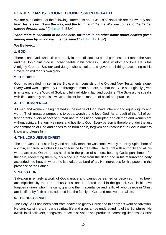# **FORRES BAPTIST CHURCH CONFESSION OF FAITH**

We are persuaded that the following statements about Jesus of Nazareth are trustworthy and true: *Jesus said: "I am the way, and the truth, and the life. No one comes to the Father except through me***.***"* (John 14:6, ESV)

*"And there is salvation in no one else, for there is no other name under heaven given*  among men by which we must be saved." (Acts 4:12, ESV)

**We Believe…**

## **1. GOD**

There is one God, who exists eternally in three distinct but equal persons: the Father, the Son, and the Holy Spirit. God is unchangeable in his holiness, justice, wisdom and love. He is the Almighty Creator; Saviour and Judge who sustains and governs all things according to his Sovereign will for his own glory.

## **2. THE BIBLE**

God has revealed himself in the Bible, which consists of the Old and New Testaments alone. Every word was inspired by God through human authors, so that the Bible as originally given is in its entirety the Word of God, and fully reliable in fact and doctrine. The Bible alone speaks with final authority and is always sufficient for all matters of belief and practice.

## **3. THE HUMAN RACE**

All men and women, being created in the image of God, have inherent and equal dignity and worth. Their greatest purpose is to obey, worship and love God. As a result of the fall of our first parents, every aspect of human nature has been corrupted and all men and women are without spiritual life, guilty sinners and hostile to God. Every person is therefore under the just condemnation of God and needs to be born again, forgiven and reconciled to God in order to know and please him.

## **4. THE LORD JESUS CHRIST**

The Lord Jesus Christ is fully God and fully man. He was conceived by the Holy Spirit, born of a virgin, and lived a sinless life in obedience to the Father. He taught with authority and all his words are true. On the cross he died in the place of sinners, bearing God's punishment for their sin, redeeming them by his blood. He rose from the dead and in his resurrection body ascended into heaven where he is exalted as Lord of all. He intercedes for his people in the presence of the Father.

## **5. SALVATION**

Salvation is entirely a work of God's grace and cannot be earned or deserved. It has been accomplished by the Lord Jesus Christ and is offered to all in the gospel. God in his love forgives sinners whom he calls, granting them repentance and faith. All who believe in Christ are justified by faith alone, adopted into the family of God and receive eternal life.

## **6. THE HOLY SPIRIT**

The Holy Spirit has been sent from heaven to glorify Christ and to apply his work of salvation. He convicts sinners, imparts spiritual life and gives a true understanding of the Scriptures. He dwells in all believers, brings assurance of salvation and produces increasing likeness to Christ.